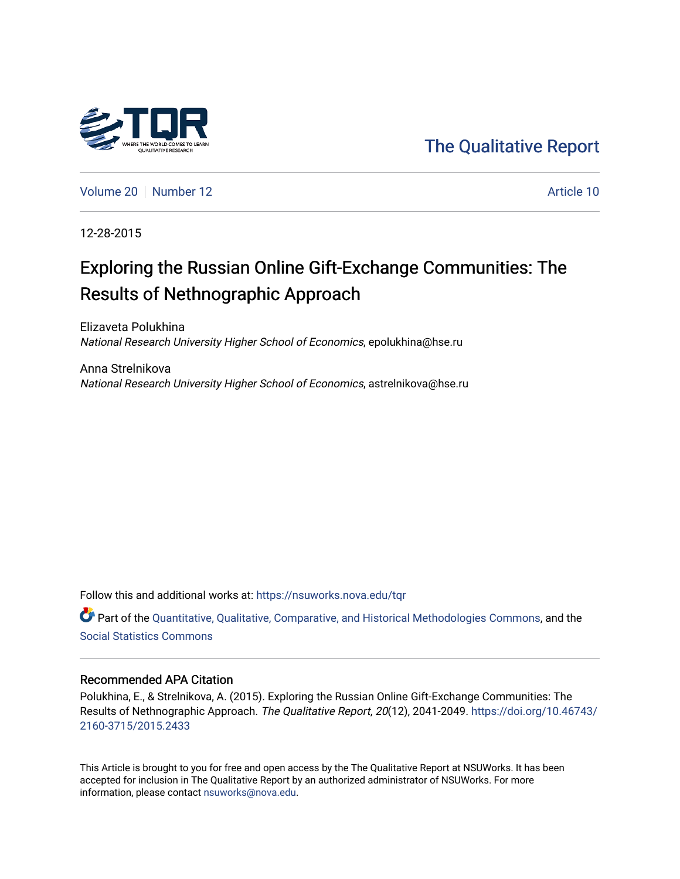

[The Qualitative Report](https://nsuworks.nova.edu/tqr) 

[Volume 20](https://nsuworks.nova.edu/tqr/vol20) [Number 12](https://nsuworks.nova.edu/tqr/vol20/iss12) Article 10

12-28-2015

# Exploring the Russian Online Gift-Exchange Communities: The Results of Nethnographic Approach

Elizaveta Polukhina National Research University Higher School of Economics, epolukhina@hse.ru

Anna Strelnikova National Research University Higher School of Economics, astrelnikova@hse.ru

Follow this and additional works at: [https://nsuworks.nova.edu/tqr](https://nsuworks.nova.edu/tqr?utm_source=nsuworks.nova.edu%2Ftqr%2Fvol20%2Fiss12%2F10&utm_medium=PDF&utm_campaign=PDFCoverPages) 

Part of the [Quantitative, Qualitative, Comparative, and Historical Methodologies Commons,](http://network.bepress.com/hgg/discipline/423?utm_source=nsuworks.nova.edu%2Ftqr%2Fvol20%2Fiss12%2F10&utm_medium=PDF&utm_campaign=PDFCoverPages) and the [Social Statistics Commons](http://network.bepress.com/hgg/discipline/1275?utm_source=nsuworks.nova.edu%2Ftqr%2Fvol20%2Fiss12%2F10&utm_medium=PDF&utm_campaign=PDFCoverPages) 

#### Recommended APA Citation

Polukhina, E., & Strelnikova, A. (2015). Exploring the Russian Online Gift-Exchange Communities: The Results of Nethnographic Approach. The Qualitative Report, 20(12), 2041-2049. [https://doi.org/10.46743/](https://doi.org/10.46743/2160-3715/2015.2433) [2160-3715/2015.2433](https://doi.org/10.46743/2160-3715/2015.2433)

This Article is brought to you for free and open access by the The Qualitative Report at NSUWorks. It has been accepted for inclusion in The Qualitative Report by an authorized administrator of NSUWorks. For more information, please contact [nsuworks@nova.edu.](mailto:nsuworks@nova.edu)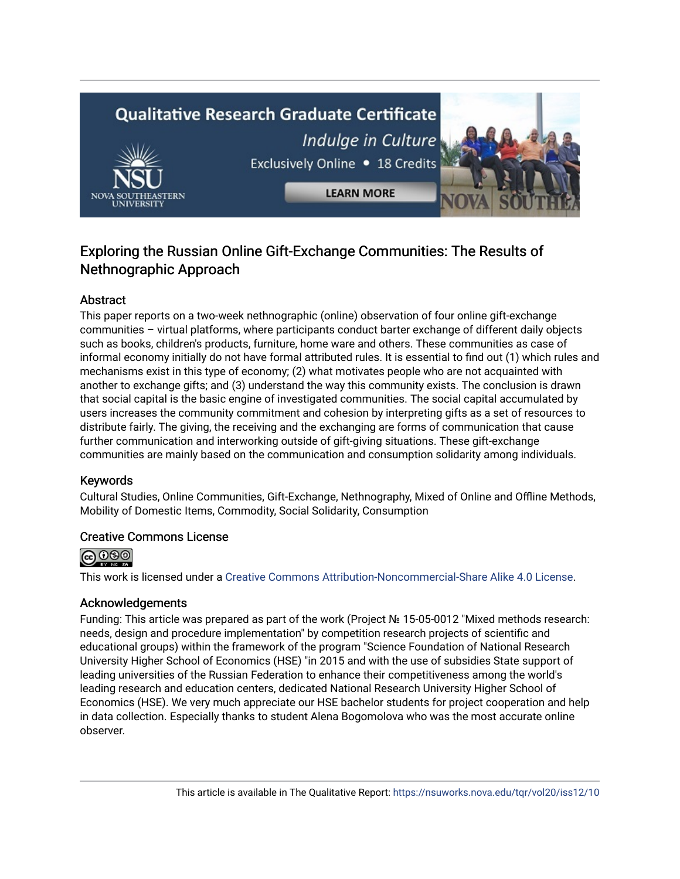# **Qualitative Research Graduate Certificate** Indulge in Culture Exclusively Online . 18 Credits **LEARN MORE**

# Exploring the Russian Online Gift-Exchange Communities: The Results of Nethnographic Approach

# Abstract

This paper reports on a two-week nethnographic (online) observation of four online gift-exchange communities – virtual platforms, where participants conduct barter exchange of different daily objects such as books, children's products, furniture, home ware and others. These communities as case of informal economy initially do not have formal attributed rules. It is essential to find out (1) which rules and mechanisms exist in this type of economy; (2) what motivates people who are not acquainted with another to exchange gifts; and (3) understand the way this community exists. The conclusion is drawn that social capital is the basic engine of investigated communities. The social capital accumulated by users increases the community commitment and cohesion by interpreting gifts as a set of resources to distribute fairly. The giving, the receiving and the exchanging are forms of communication that cause further communication and interworking outside of gift-giving situations. These gift-exchange communities are mainly based on the communication and consumption solidarity among individuals.

### Keywords

Cultural Studies, Online Communities, Gift-Exchange, Nethnography, Mixed of Online and Offline Methods, Mobility of Domestic Items, Commodity, Social Solidarity, Consumption

# Creative Commons License



This work is licensed under a [Creative Commons Attribution-Noncommercial-Share Alike 4.0 License](https://creativecommons.org/licenses/by-nc-sa/4.0/).

# Acknowledgements

Funding: This article was prepared as part of the work (Project № 15-05-0012 "Mixed methods research: needs, design and procedure implementation" by competition research projects of scientific and educational groups) within the framework of the program "Science Foundation of National Research University Higher School of Economics (HSE) "in 2015 and with the use of subsidies State support of leading universities of the Russian Federation to enhance their competitiveness among the world's leading research and education centers, dedicated National Research University Higher School of Economics (HSE). We very much appreciate our HSE bachelor students for project cooperation and help in data collection. Especially thanks to student Alena Bogomolova who was the most accurate online observer.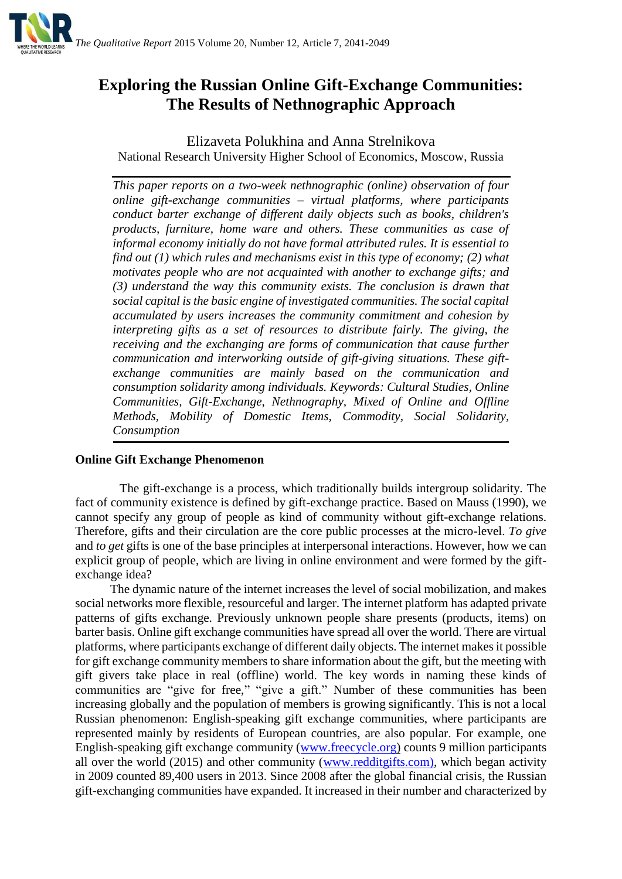

# **Exploring the Russian Online Gift-Exchange Communities: The Results of Nethnographic Approach**

Elizaveta Polukhina and Anna Strelnikova National Research University Higher School of Economics, Moscow, Russia

*This paper reports on a two-week nethnographic (online) observation of four online gift-exchange communities – virtual platforms, where participants conduct barter exchange of different daily objects such as books, children's products, furniture, home ware and others. These communities as case of informal economy initially do not have formal attributed rules. It is essential to find out (1) which rules and mechanisms exist in this type of economy; (2) what motivates people who are not acquainted with another to exchange gifts; and (3) understand the way this community exists. The conclusion is drawn that social capital is the basic engine of investigated communities. The social capital accumulated by users increases the community commitment and cohesion by interpreting gifts as a set of resources to distribute fairly. The giving, the receiving and the exchanging are forms of communication that cause further communication and interworking outside of gift-giving situations. These giftexchange communities are mainly based on the communication and consumption solidarity among individuals. Keywords: [Cultural Studies,](http://category/) Online Communities, Gift-Exchange, Nethnography, Mixed of Online and Offline Methods, Mobility of Domestic Items, Commodity, Social Solidarity, Consumption*

# **Online Gift Exchange Phenomenon**

The gift-exchange is a process, which traditionally builds intergroup solidarity. The fact of community existence is defined by gift-exchange practice. Based on Mauss (1990), we cannot specify any group of people as kind of community without gift-exchange relations. Therefore, gifts and their circulation are the core public processes at the micro-level. *To give* and *to get* gifts is one of the base principles at interpersonal interactions. However, how we can explicit group of people, which are living in online environment and were formed by the giftexchange idea?

The dynamic nature of the internet increases the level of social mobilization, and makes social networks more flexible, resourceful and larger. The internet platform has adapted private patterns of gifts exchange. Previously unknown people share presents (products, items) on barter basis. Online gift exchange communities have spread all over the world. There are virtual platforms, where participants exchange of different daily objects. The internet makes it possible for gift exchange community members to share information about the gift, but the meeting with gift givers take place in real (offline) world. The key words in naming these kinds of communities are "give for free," "give a gift." Number of these communities has been increasing globally and the population of members is growing significantly. This is not a local Russian phenomenon: English-speaking gift exchange communities, where participants are represented mainly by residents of European countries, are also popular. For example, one English-speaking gift exchange community [\(www.freecycle.org\)](http://www.freecycle.org/) counts 9 million participants all over the world (2015) and other community [\(ww](http://redditgifts.com/)w.redditgifts.com), which began activity in 2009 counted 89,400 users in 2013. Since 2008 after the global financial crisis, the Russian gift-exchanging communities have expanded. It increased in their number and characterized by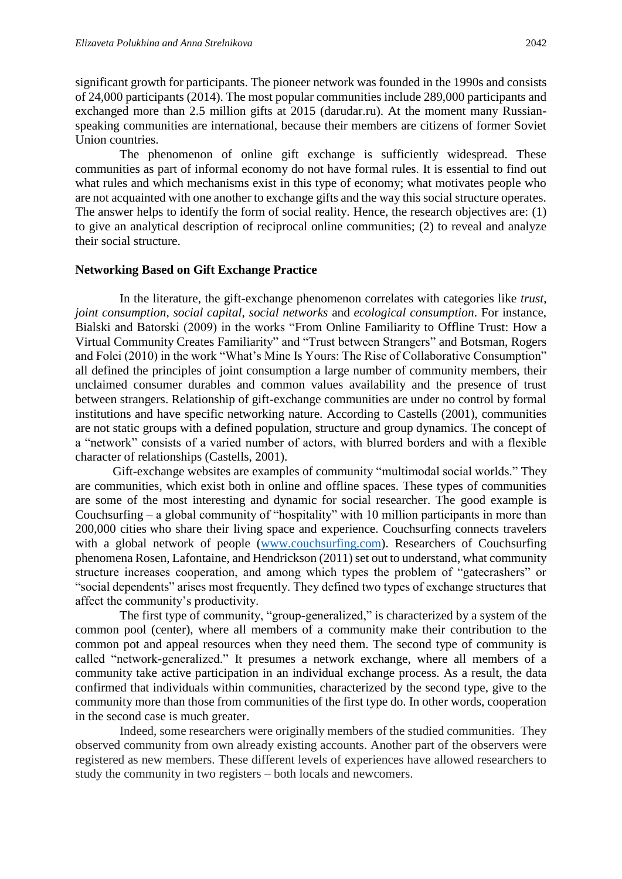significant growth for participants. The pioneer network was founded in the 1990s and consists of 24,000 participants (2014). The most popular communities include 289,000 participants and exchanged more than 2.5 million gifts at 2015 (darudar.ru). At the moment many Russianspeaking communities are international, because their members are citizens of former Soviet Union countries.

The phenomenon of online gift exchange is sufficiently widespread. These communities as part of informal economy do not have formal rules. It is essential to find out what rules and which mechanisms exist in this type of economy; what motivates people who are not acquainted with one another to exchange gifts and the way this social structure operates. The answer helps to identify the form of social reality. Hence, the research objectives are: (1) to give an analytical description of reciprocal online communities; (2) to reveal and analyze their social structure.

#### **Networking Based on Gift Exchange Practice**

In the literature, the gift-exchange phenomenon correlates with categories like *trust*, *joint consumption*, *social capital*, *social networks* and *ecological consumption*. For instance, Bialski and Batorski (2009) in the works "From Online Familiarity to Offline Trust: How a Virtual Community Creates Familiarity" and "Trust between Strangers" and Botsman, Rogers and Folei (2010) in the work "What's Mine Is Yours: The Rise of Collaborative Consumption" all defined the principles of joint consumption a large number of community members, their unclaimed consumer durables and common values availability and the presence of trust between strangers. Relationship of gift-exchange communities are under no control by formal institutions and have specific networking nature. According to Castells (2001), communities are not static groups with a defined population, structure and group dynamics. The concept of a "network" consists of a varied number of actors, with blurred borders and with a flexible character of relationships (Castells, 2001).

Gift-exchange websites are examples of community "multimodal social worlds." They are communities, which exist both in online and offline spaces. These types of communities are some of the most interesting and dynamic for social researcher. The good example is Couchsurfing – a global community of "hospitality" with 10 million participants in more than 200,000 cities who share their living space and experience. Couchsurfing connects travelers with a global network of people [\(www.couchsurfing.com\)](http://www.couchsurfing.com/). Researchers of Couchsurfing phenomena Rosen, Lafontaine, and Hendrickson (2011) set out to understand, what community structure increases cooperation, and among which types the problem of "gatecrashers" or "social dependents" arises most frequently. They defined two types of exchange structures that affect the community's productivity.

The first type of community, "group-generalized," is characterized by a system of the common pool (center), where all members of a community make their contribution to the common pot and appeal resources when they need them. The second type of community is called "network-generalized." It presumes a network exchange, where all members of a community take active participation in an individual exchange process. As a result, the data confirmed that individuals within communities, characterized by the second type, give to the community more than those from communities of the first type do. In other words, cooperation in the second case is much greater.

Indeed, some researchers were originally members of the studied communities. They observed community from own already existing accounts. Another part of the observers were registered as new members. These different levels of experiences have allowed researchers to study the community in two registers – both locals and newcomers.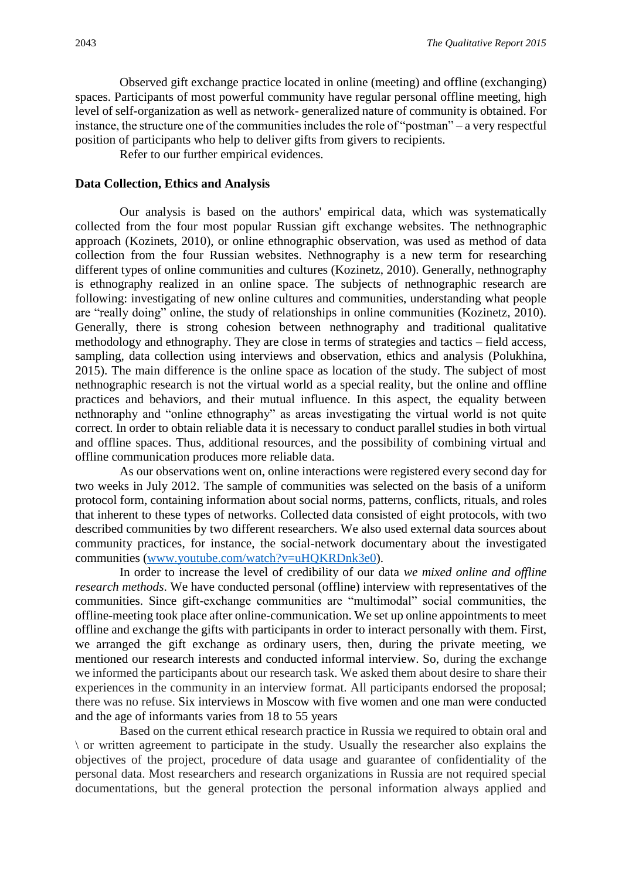Observed gift exchange practice located in online (meeting) and offline (exchanging) spaces. Participants of most powerful community have regular personal offline meeting, high level of self-organization as well as network- generalized nature of community is obtained. For instance, the structure one of the communities includes the role of "postman" – a very respectful position of participants who help to deliver gifts from givers to recipients.

Refer to our further empirical evidences.

#### **Data Collection, Ethics and Analysis**

Our analysis is based on the authors' empirical data, which was systematically collected from the four most popular Russian gift exchange websites. The nethnographic approach (Kozinets, 2010), or online ethnographic observation, was used as method of data collection from the four Russian websites. Nethnography is a new term for researching different types of online communities and cultures (Kozinetz, 2010). Generally, nethnography is ethnography realized in an online space. The subjects of nethnographic research are following: investigating of new online cultures and communities, understanding what people are "really doing" online, the study of relationships in online communities (Kozinetz, 2010). Generally, there is strong cohesion between nethnography and traditional qualitative methodology and ethnography. They are close in terms of strategies and tactics – field access, sampling, data collection using interviews and observation, ethics and analysis (Polukhina, 2015). The main difference is the online space as location of the study. The subject of most nethnographic research is not the virtual world as a special reality, but the online and offline practices and behaviors, and their mutual influence. In this aspect, the equality between nethnoraphy and "online ethnography" as areas investigating the virtual world is not quite correct. In order to obtain reliable data it is necessary to conduct parallel studies in both virtual and offline spaces. Thus, additional resources, and the possibility of combining virtual and offline communication produces more reliable data.

As our observations went on, online interactions were registered every second day for two weeks in July 2012. The sample of communities was selected on the basis of a uniform protocol form, containing information about social norms, patterns, conflicts, rituals, and roles that inherent to these types of networks. Collected data consisted of eight protocols, with two described communities by two different researchers. We also used external data sources about community practices, for instance, the social-network documentary about the investigated communities [\(www.youtube.com/watch?v=uHQKRDnk3e0\)](http://www.youtube.com/watch?v=uHQKRDnk3e0).

In order to increase the level of credibility of our data *we mixed online and offline research methods*. We have conducted personal (offline) interview with representatives of the communities. Since gift-exchange communities are "multimodal" social communities, the offline-meeting took place after online-communication. We set up online appointments to meet offline and exchange the gifts with participants in order to interact personally with them. First, we arranged the gift exchange as ordinary users, then, during the private meeting, we mentioned our research interests and conducted informal interview. So, during the exchange we informed the participants about our research task. We asked them about desire to share their experiences in the community in an interview format. All participants endorsed the proposal; there was no refuse. Six interviews in Moscow with five women and one man were conducted and the age of informants varies from 18 to 55 years

Based on the current ethical research practice in Russia we required to obtain oral and \ or written agreement to participate in the study. Usually the researcher also explains the objectives of the project, procedure of data usage and guarantee of confidentiality of the personal data. Most researchers and research organizations in Russia are not required special documentations, but the general protection the personal information always applied and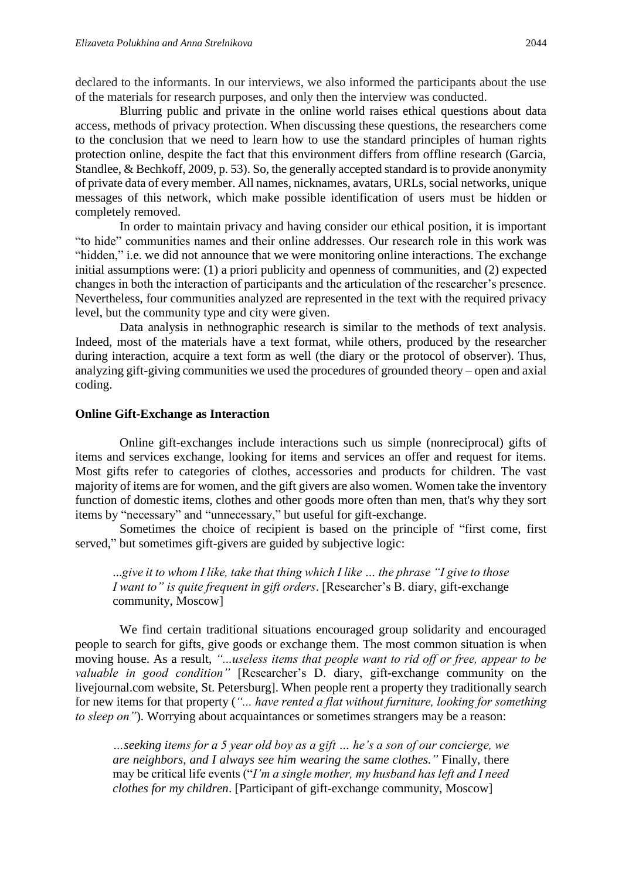declared to the informants. In our interviews, we also informed the participants about the use of the materials for research purposes, and only then the interview was conducted.

Blurring public and private in the online world raises ethical questions about data access, methods of privacy protection. When discussing these questions, the researchers come to the conclusion that we need to learn how to use the standard principles of human rights protection online, despite the fact that this environment differs from offline research (Garcia, Standlee, & Bechkoff, 2009, p. 53). So, the generally accepted standard is to provide anonymity of private data of every member. All names, nicknames, avatars, URLs, social networks, unique messages of this network, which make possible identification of users must be hidden or completely removed.

In order to maintain privacy and having consider our ethical position, it is important "to hide" communities names and their online addresses. Our research role in this work was "hidden," i.e. we did not announce that we were monitoring online interactions. The exchange initial assumptions were: (1) a priori publicity and openness of communities, and (2) expected changes in both the interaction of participants and the articulation of the researcher's presence. Nevertheless, four communities analyzed are represented in the text with the required privacy level, but the community type and city were given.

Data analysis in nethnographic research is similar to the methods of text analysis. Indeed, most of the materials have a text format, while others, produced by the researcher during interaction, acquire a text form as well (the diary or the protocol of observer). Thus, analyzing gift-giving communities we used the procedures of grounded theory – open and axial coding.

#### **Online Gift-Exchange as Interaction**

Online gift-exchanges include interactions such us simple (nonreciprocal) gifts of items and services exchange, looking for items and services an offer and request for items. Most gifts refer to categories of clothes, accessories and products for children. The vast majority of items are for women, and the gift givers are also women. Women take the inventory function of domestic items, clothes and other goods more often than men, that's why they sort items by "necessary" and "unnecessary," but useful for gift-exchange.

Sometimes the choice of recipient is based on the principle of "first come, first served," but sometimes gift-givers are guided by subjective logic:

...*give it to whom I like, take that thing which I like … the phrase "I give to those I want to" is quite frequent in gift orders*. [Researcher's B. diary, gift-exchange community, Moscow]

We find certain traditional situations encouraged group solidarity and encouraged people to search for gifts, give goods or exchange them. The most common situation is when moving house. As a result, *"...useless items that people want to rid off or free, appear to be valuable in good condition"* [Researcher's D. diary, gift-exchange community on the livejournal.com website, St. Petersburg]. When people rent a property they traditionally search for new items for that property (*"... have rented a flat without furniture, looking for something to sleep on"*). Worrying about acquaintances or sometimes strangers may be a reason:

*…seeking items for a 5 year old boy as a gift … he's a son of our concierge, we are neighbors, and I always see him wearing the same clothes."* Finally, there may be critical life events ("*I'm a single mother, my husband has left and I need clothes for my children*. [Participant of gift-exchange community, Moscow]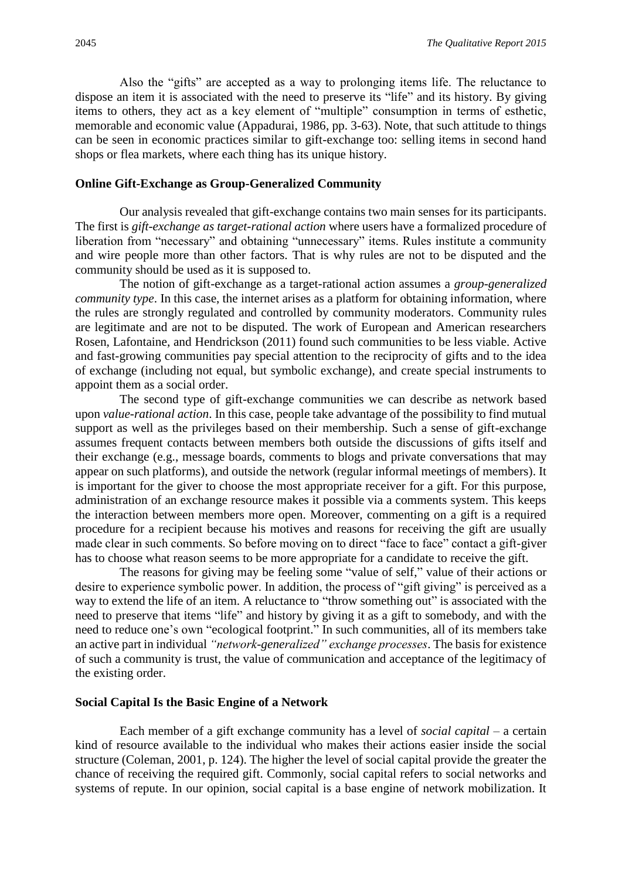Also the "gifts" are accepted as a way to prolonging items life. The reluctance to dispose an item it is associated with the need to preserve its "life" and its history. By giving items to others, they act as a key element of "multiple" consumption in terms of esthetic, memorable and economic value (Appadurai, 1986, pp. 3-63). Note, that such attitude to things can be seen in economic practices similar to gift-exchange too: selling items in second hand shops or flea markets, where each thing has its unique history.

#### **Online Gift-Exchange as Group-Generalized Community**

Our analysis revealed that gift-exchange contains two main senses for its participants. The first is *gift*-*exchange as target-rational action* where users have a formalized procedure of liberation from "necessary" and obtaining "unnecessary" items. Rules institute a community and wire people more than other factors. That is why rules are not to be disputed and the community should be used as it is supposed to.

The notion of gift-exchange as a target-rational action assumes a *group-generalized community type*. In this case, the internet arises as a platform for obtaining information, where the rules are strongly regulated and controlled by community moderators. Community rules are legitimate and are not to be disputed. The work of European and American researchers Rosen, Lafontaine, and Hendrickson (2011) found such communities to be less viable. Active and fast-growing communities pay special attention to the reciprocity of gifts and to the idea of exchange (including not equal, but symbolic exchange), and create special instruments to appoint them as a social order.

The second type of gift-exchange communities we can describe as network based upon *value-rational action*. In this case, people take advantage of the possibility to find mutual support as well as the privileges based on their membership. Such a sense of gift-exchange assumes frequent contacts between members both outside the discussions of gifts itself and their exchange (e.g., message boards, comments to blogs and private conversations that may appear on such platforms), and outside the network (regular informal meetings of members). It is important for the giver to choose the most appropriate receiver for a gift. For this purpose, administration of an exchange resource makes it possible via a comments system. This keeps the interaction between members more open. Moreover, commenting on a gift is a required procedure for a recipient because his motives and reasons for receiving the gift are usually made clear in such comments. So before moving on to direct "face to face" contact a gift-giver has to choose what reason seems to be more appropriate for a candidate to receive the gift.

The reasons for giving may be feeling some "value of self," value of their actions or desire to experience symbolic power. In addition, the process of "gift giving" is perceived as a way to extend the life of an item. A reluctance to "throw something out" is associated with the need to preserve that items "life" and history by giving it as a gift to somebody, and with the need to reduce one's own "ecological footprint." In such communities, all of its members take an active part in individual *"network-generalized" exchange processes*. The basis for existence of such a community is trust, the value of communication and acceptance of the legitimacy of the existing order.

#### **Social Capital Is the Basic Engine of a Network**

Each member of a gift exchange community has a level of *social capital* – a certain kind of resource available to the individual who makes their actions easier inside the social structure (Coleman, 2001, p. 124). The higher the level of social capital provide the greater the chance of receiving the required gift. Commonly, social capital refers to social networks and systems of repute. In our opinion, social capital is a base engine of network mobilization. It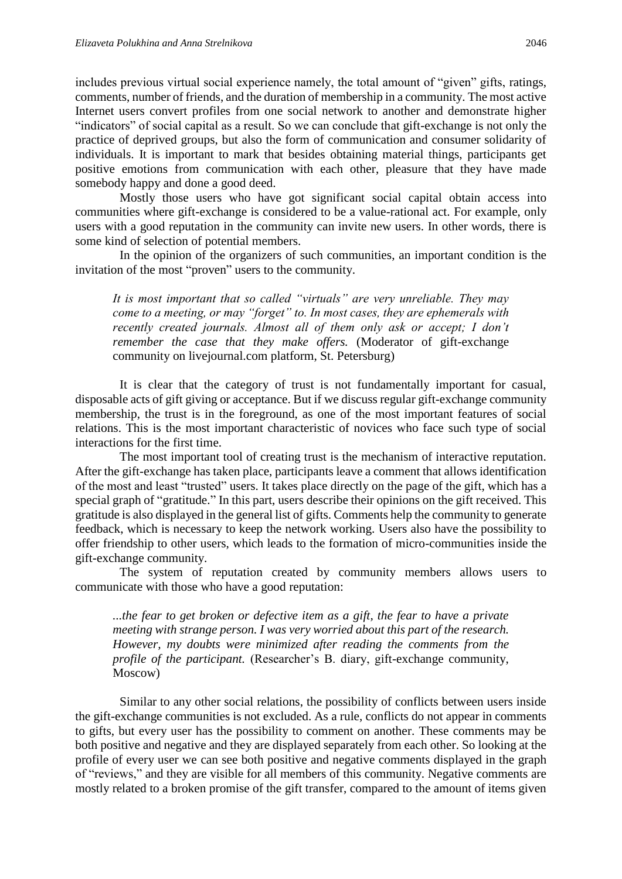includes previous virtual social experience namely, the total amount of "given" gifts, ratings, comments, number of friends, and the duration of membership in a community. The most active Internet users convert profiles from one social network to another and demonstrate higher "indicators" of social capital as a result. So we can conclude that gift-exchange is not only the practice of deprived groups, but also the form of communication and consumer solidarity of individuals. It is important to mark that besides obtaining material things, participants get positive emotions from communication with each other, pleasure that they have made somebody happy and done a good deed.

Mostly those users who have got significant social capital obtain access into communities where gift-exchange is considered to be a value-rational act. For example, only users with a good reputation in the community can invite new users. In other words, there is some kind of selection of potential members.

In the opinion of the organizers of such communities, an important condition is the invitation of the most "proven" users to the community.

*It is most important that so called "virtuals" are very unreliable. They may come to a meeting, or may "forget" to. In most cases, they are ephemerals with recently created journals. Almost all of them only ask or accept; I don't remember the case that they make offers.* (Moderator of gift-exchange community on livejournal.com platform, St. Petersburg)

It is clear that the category of trust is not fundamentally important for casual, disposable acts of gift giving or acceptance. But if we discuss regular gift-exchange community membership, the trust is in the foreground, as one of the most important features of social relations. This is the most important characteristic of novices who face such type of social interactions for the first time.

The most important tool of creating trust is the mechanism of interactive reputation. After the gift-exchange has taken place, participants leave a comment that allows identification of the most and least "trusted" users. It takes place directly on the page of the gift, which has a special graph of "gratitude." In this part, users describe their opinions on the gift received. This gratitude is also displayed in the general list of gifts. Comments help the community to generate feedback, which is necessary to keep the network working. Users also have the possibility to offer friendship to other users, which leads to the formation of micro-communities inside the gift-exchange community.

The system of reputation created by community members allows users to communicate with those who have a good reputation:

*...the fear to get broken or defective item as a gift, the fear to have a private meeting with strange person. I was very worried about this part of the research. However, my doubts were minimized after reading the comments from the profile of the participant.* (Researcher's B. diary, gift-exchange community, Moscow)

Similar to any other social relations, the possibility of conflicts between users inside the gift-exchange communities is not excluded. As a rule, conflicts do not appear in comments to gifts, but every user has the possibility to comment on another. These comments may be both positive and negative and they are displayed separately from each other. So looking at the profile of every user we can see both positive and negative comments displayed in the graph of "reviews," and they are visible for all members of this community. Negative comments are mostly related to a broken promise of the gift transfer, compared to the amount of items given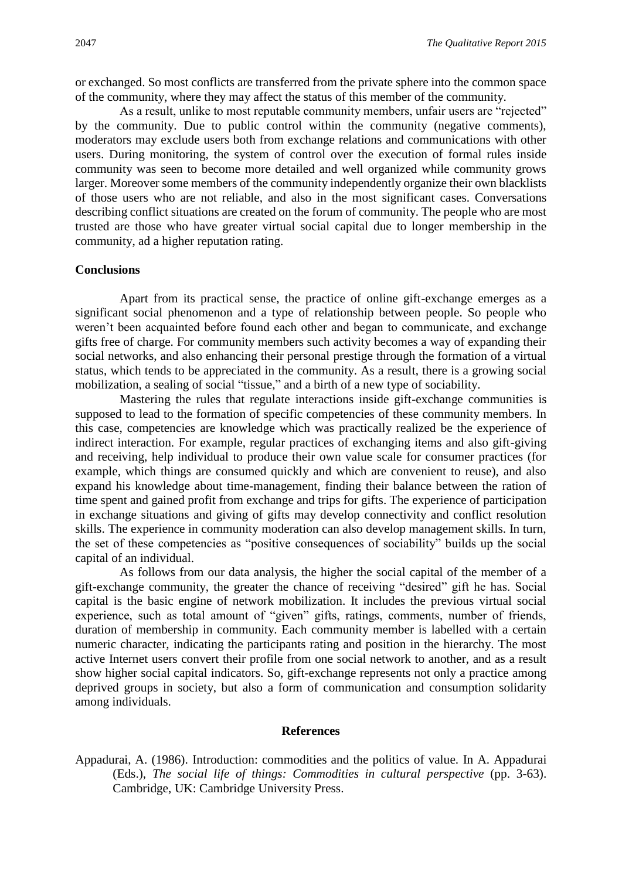or exchanged. So most conflicts are transferred from the private sphere into the common space of the community, where they may affect the status of this member of the community.

As a result, unlike to most reputable community members, unfair users are "rejected" by the community. Due to public control within the community (negative comments), moderators may exclude users both from exchange relations and communications with other users. During monitoring, the system of control over the execution of formal rules inside community was seen to become more detailed and well organized while community grows larger. Moreover some members of the community independently organize their own blacklists of those users who are not reliable, and also in the most significant cases. Conversations describing conflict situations are created on the forum of community. The people who are most trusted are those who have greater virtual social capital due to longer membership in the community, ad a higher reputation rating.

#### **Conclusions**

Apart from its practical sense, the practice of online gift-exchange emerges as a significant social phenomenon and a type of relationship between people. So people who weren't been acquainted before found each other and began to communicate, and exchange gifts free of charge. For community members such activity becomes a way of expanding their social networks, and also enhancing their personal prestige through the formation of a virtual status, which tends to be appreciated in the community. As a result, there is a growing social mobilization, a sealing of social "tissue," and a birth of a new type of sociability.

Mastering the rules that regulate interactions inside gift-exchange communities is supposed to lead to the formation of specific competencies of these community members. In this case, competencies are knowledge which was practically realized be the experience of indirect interaction. For example, regular practices of exchanging items and also gift-giving and receiving, help individual to produce their own value scale for consumer practices (for example, which things are consumed quickly and which are convenient to reuse), and also expand his knowledge about time-management, finding their balance between the ration of time spent and gained profit from exchange and trips for gifts. The experience of participation in exchange situations and giving of gifts may develop connectivity and conflict resolution skills. The experience in community moderation can also develop management skills. In turn, the set of these competencies as "positive consequences of sociability" builds up the social capital of an individual.

As follows from our data analysis, the higher the social capital of the member of a gift-exchange community, the greater the chance of receiving "desired" gift he has. Social capital is the basic engine of network mobilization. It includes the previous virtual social experience, such as total amount of "given" gifts, ratings, comments, number of friends, duration of membership in community. Each community member is labelled with a certain numeric character, indicating the participants rating and position in the hierarchy. The most active Internet users convert their profile from one social network to another, and as a result show higher social capital indicators. So, gift-exchange represents not only a practice among deprived groups in society, but also a form of communication and consumption solidarity among individuals.

#### **References**

Appadurai, A. (1986). Introduction: commodities and the politics of value. In A. Appadurai (Eds.), *The social life of things: Commodities in cultural perspective* (pp. 3-63). Cambridge, UK: Cambridge University Press.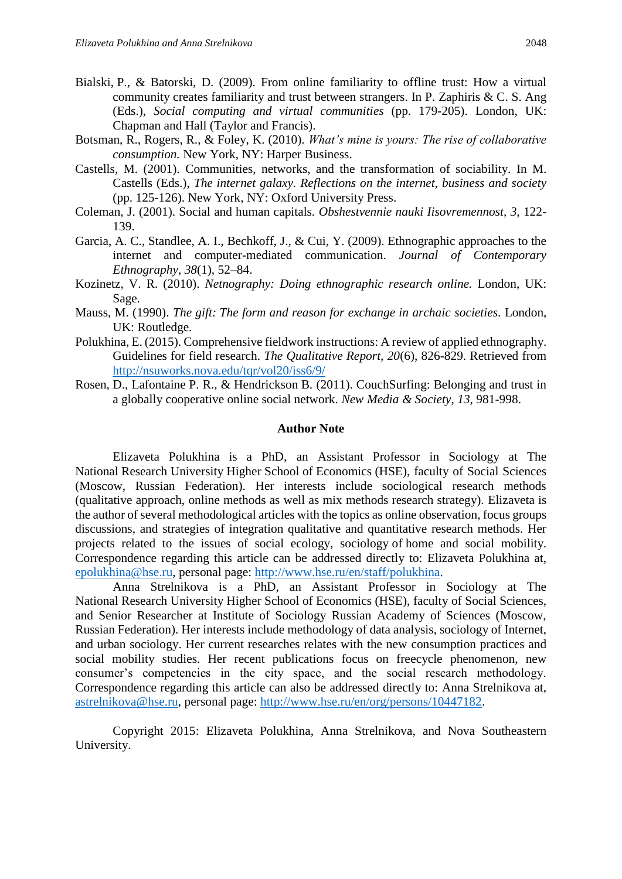- Bialski, P., & Batorski, D. (2009). From online familiarity to offline trust: How a virtual community creates familiarity and trust between strangers. In P. Zaphiris & C. S. Ang (Eds.), *Social computing and virtual communities* (pp. 179-205). London, UK: Chapman and Hall (Taylor and Francis).
- Botsman, R., Rogers, R., & Foley, K. (2010). *What's mine is yours: The rise of collaborative consumption.* New York, NY: Harper Business.
- Castells, M. (2001). Communities, networks, and the transformation of sociability. In M. Castells (Eds.), *The internet galaxy. Reflections on the internet, business and society*  (pp. 125-126). New York, NY: Oxford University Press.
- Coleman, J. (2001). Social and human capitals*. Obshestvennie nauki Iisovremennost, 3*, 122- 139.
- Garcia, A. C., Standlee, A. I., Bechkoff, J., & Cui, Y. (2009). Ethnographic approaches to the internet and computer-mediated communication. *Journal of Contemporary Ethnography*, *38*(1), 52–84.
- Kozinetz, V. R. (2010). *Netnography: Doing ethnographic research online.* London, UK: Sage.
- [Mauss,](http://www.google.ru/search?tbo=p&tbm=bks&q=inauthor:%22Marcel+Mauss%22) M. (1990). *The gift: The form and reason for exchange in archaic societies*. London, UK: Routledge.
- Polukhina, E. (2015). Comprehensive fieldwork instructions: A review of applied ethnography. Guidelines for field research. *The Qualitative Report, 20*(6), 826-829. Retrieved from <http://nsuworks.nova.edu/tqr/vol20/iss6/9/>
- Rosen, D., Lafontaine P. R., & Hendrickson B. (2011). CouchSurfing: Belonging and trust in a globally cooperative online social network. *New Media & Society*, *13*, 981-998.

#### **Author Note**

Elizaveta Polukhina is a PhD, an Assistant Professor in Sociology at The National Research University Higher School of Economics (HSE), faculty of Social Sciences (Moscow, Russian Federation). Her interests include sociological research methods (qualitative approach, online methods as well as mix methods research strategy). Elizaveta is the author of several methodological articles with the topics as online observation, focus groups discussions, and strategies of integration qualitative and quantitative research methods. Her projects related to the issues of social ecology, sociology of home and social mobility. Correspondence regarding this article can be addressed directly to: Elizaveta Polukhina at, [epolukhina@hse.ru,](mailto:epolukhina@hse.ru) personal page: [http://www.hse.ru/en/staff/polukhina.](http://www.hse.ru/en/staff/polukhina)

Anna Strelnikova is a PhD, an Assistant Professor in Sociology at The National Research University Higher School of Economics (HSE), faculty of Social Sciences, and Senior Researcher at Institute of Sociology Russian Academy of Sciences (Moscow, Russian Federation). Her interests include methodology of data analysis, sociology of Internet, and urban sociology. Her current researches relates with the new consumption practices and social mobility studies. Her recent publications focus on freecycle phenomenon, new consumer's competencies in the city space, and the social research methodology. Correspondence regarding this article can also be addressed directly to: Anna Strelnikova at, [astrelnikova@hse.ru,](mailto:astrelnikova@hse.ru) personal page: [http://www.hse.ru/en/org/persons/10447182.](http://www.hse.ru/en/org/persons/10447182)

Copyright 2015: Elizaveta Polukhina, Anna Strelnikova, and Nova Southeastern University.